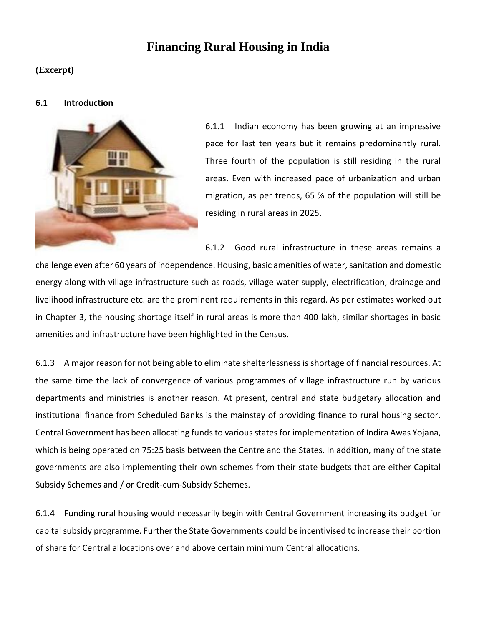# **Financing Rural Housing in India**

# **(Excerpt)**

#### **6.1 Introduction**



6.1.1 Indian economy has been growing at an impressive pace for last ten years but it remains predominantly rural. Three fourth of the population is still residing in the rural areas. Even with increased pace of urbanization and urban migration, as per trends, 65 % of the population will still be residing in rural areas in 2025.

6.1.2 Good rural infrastructure in these areas remains a challenge even after 60 years of independence. Housing, basic amenities of water, sanitation and domestic energy along with village infrastructure such as roads, village water supply, electrification, drainage and livelihood infrastructure etc. are the prominent requirements in this regard. As per estimates worked out in Chapter 3, the housing shortage itself in rural areas is more than 400 lakh, similar shortages in basic amenities and infrastructure have been highlighted in the Census.

6.1.3 A major reason for not being able to eliminate shelterlessness is shortage of financial resources. At the same time the lack of convergence of various programmes of village infrastructure run by various departments and ministries is another reason. At present, central and state budgetary allocation and institutional finance from Scheduled Banks is the mainstay of providing finance to rural housing sector. Central Government has been allocating funds to various states for implementation of Indira Awas Yojana, which is being operated on 75:25 basis between the Centre and the States. In addition, many of the state governments are also implementing their own schemes from their state budgets that are either Capital Subsidy Schemes and / or Credit-cum-Subsidy Schemes.

6.1.4 Funding rural housing would necessarily begin with Central Government increasing its budget for capital subsidy programme. Further the State Governments could be incentivised to increase their portion of share for Central allocations over and above certain minimum Central allocations.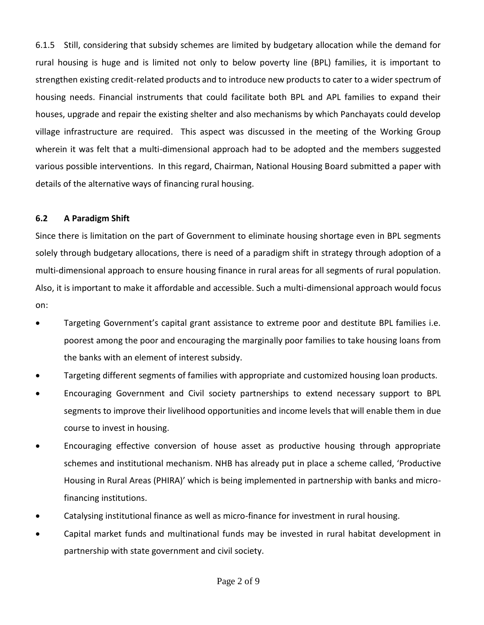6.1.5 Still, considering that subsidy schemes are limited by budgetary allocation while the demand for rural housing is huge and is limited not only to below poverty line (BPL) families, it is important to strengthen existing credit-related products and to introduce new products to cater to a wider spectrum of housing needs. Financial instruments that could facilitate both BPL and APL families to expand their houses, upgrade and repair the existing shelter and also mechanisms by which Panchayats could develop village infrastructure are required. This aspect was discussed in the meeting of the Working Group wherein it was felt that a multi-dimensional approach had to be adopted and the members suggested various possible interventions. In this regard, Chairman, National Housing Board submitted a paper with details of the alternative ways of financing rural housing.

# **6.2 A Paradigm Shift**

Since there is limitation on the part of Government to eliminate housing shortage even in BPL segments solely through budgetary allocations, there is need of a paradigm shift in strategy through adoption of a multi-dimensional approach to ensure housing finance in rural areas for all segments of rural population. Also, it is important to make it affordable and accessible. Such a multi-dimensional approach would focus on:

- Targeting Government's capital grant assistance to extreme poor and destitute BPL families i.e. poorest among the poor and encouraging the marginally poor families to take housing loans from the banks with an element of interest subsidy.
- Targeting different segments of families with appropriate and customized housing loan products.
- Encouraging Government and Civil society partnerships to extend necessary support to BPL segments to improve their livelihood opportunities and income levels that will enable them in due course to invest in housing.
- Encouraging effective conversion of house asset as productive housing through appropriate schemes and institutional mechanism. NHB has already put in place a scheme called, 'Productive Housing in Rural Areas (PHIRA)' which is being implemented in partnership with banks and microfinancing institutions.
- Catalysing institutional finance as well as micro-finance for investment in rural housing.
- Capital market funds and multinational funds may be invested in rural habitat development in partnership with state government and civil society.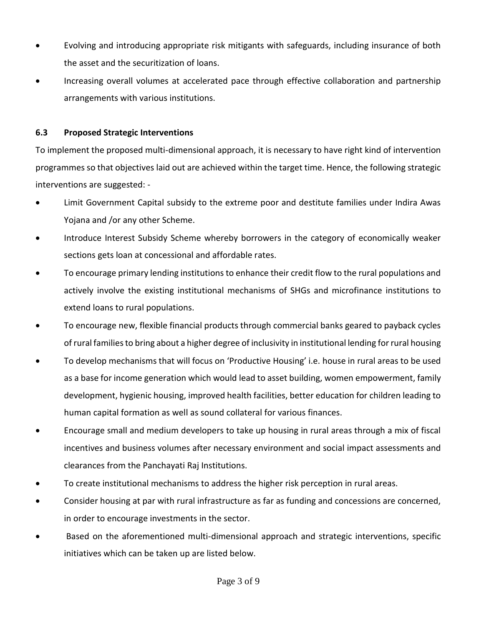- Evolving and introducing appropriate risk mitigants with safeguards, including insurance of both the asset and the securitization of loans.
- Increasing overall volumes at accelerated pace through effective collaboration and partnership arrangements with various institutions.

# **6.3 Proposed Strategic Interventions**

To implement the proposed multi-dimensional approach, it is necessary to have right kind of intervention programmes so that objectives laid out are achieved within the target time. Hence, the following strategic interventions are suggested: -

- Limit Government Capital subsidy to the extreme poor and destitute families under Indira Awas Yojana and /or any other Scheme.
- Introduce Interest Subsidy Scheme whereby borrowers in the category of economically weaker sections gets loan at concessional and affordable rates.
- To encourage primary lending institutions to enhance their credit flow to the rural populations and actively involve the existing institutional mechanisms of SHGs and microfinance institutions to extend loans to rural populations.
- To encourage new, flexible financial products through commercial banks geared to payback cycles of rural families to bring about a higher degree of inclusivity in institutional lending for rural housing
- To develop mechanisms that will focus on 'Productive Housing' i.e. house in rural areas to be used as a base for income generation which would lead to asset building, women empowerment, family development, hygienic housing, improved health facilities, better education for children leading to human capital formation as well as sound collateral for various finances.
- Encourage small and medium developers to take up housing in rural areas through a mix of fiscal incentives and business volumes after necessary environment and social impact assessments and clearances from the Panchayati Raj Institutions.
- To create institutional mechanisms to address the higher risk perception in rural areas.
- Consider housing at par with rural infrastructure as far as funding and concessions are concerned, in order to encourage investments in the sector.
- Based on the aforementioned multi-dimensional approach and strategic interventions, specific initiatives which can be taken up are listed below.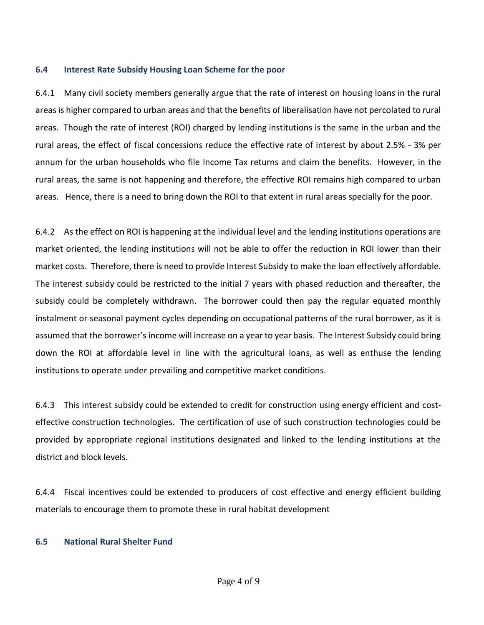# **6.4 Interest Rate Subsidy Housing Loan Scheme for the poor**

6.4.1 Many civil society members generally argue that the rate of interest on housing loans in the rural areas is higher compared to urban areas and that the benefits of liberalisation have not percolated to rural areas. Though the rate of interest (ROI) charged by lending institutions is the same in the urban and the rural areas, the effect of fiscal concessions reduce the effective rate of interest by about 2.5% - 3% per annum for the urban households who file Income Tax returns and claim the benefits. However, in the rural areas, the same is not happening and therefore, the effective ROI remains high compared to urban areas. Hence, there is a need to bring down the ROI to that extent in rural areas specially for the poor.

6.4.2 As the effect on ROI is happening at the individual level and the lending institutions operations are market oriented, the lending institutions will not be able to offer the reduction in ROI lower than their market costs. Therefore, there is need to provide Interest Subsidy to make the loan effectively affordable. The interest subsidy could be restricted to the initial 7 years with phased reduction and thereafter, the subsidy could be completely withdrawn. The borrower could then pay the regular equated monthly instalment or seasonal payment cycles depending on occupational patterns of the rural borrower, as it is assumed that the borrower's income will increase on a year to year basis. The Interest Subsidy could bring down the ROI at affordable level in line with the agricultural loans, as well as enthuse the lending institutions to operate under prevailing and competitive market conditions.

6.4.3 This interest subsidy could be extended to credit for construction using energy efficient and costeffective construction technologies. The certification of use of such construction technologies could be provided by appropriate regional institutions designated and linked to the lending institutions at the district and block levels.

6.4.4 Fiscal incentives could be extended to producers of cost effective and energy efficient building materials to encourage them to promote these in rural habitat development

# **6.5 National Rural Shelter Fund**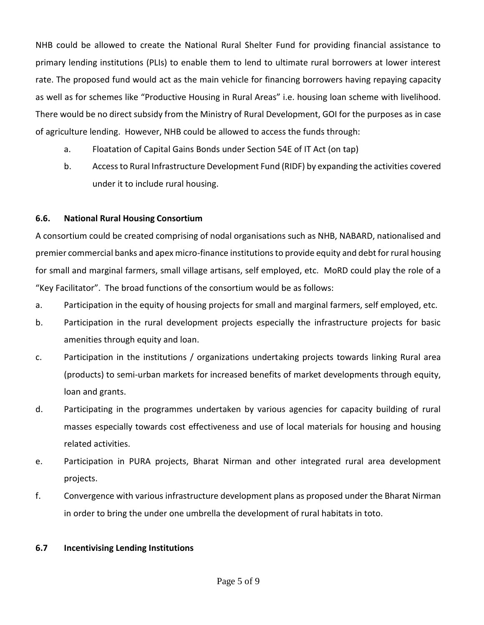NHB could be allowed to create the National Rural Shelter Fund for providing financial assistance to primary lending institutions (PLIs) to enable them to lend to ultimate rural borrowers at lower interest rate. The proposed fund would act as the main vehicle for financing borrowers having repaying capacity as well as for schemes like "Productive Housing in Rural Areas" i.e. housing loan scheme with livelihood. There would be no direct subsidy from the Ministry of Rural Development, GOI for the purposes as in case of agriculture lending. However, NHB could be allowed to access the funds through:

- a. Floatation of Capital Gains Bonds under Section 54E of IT Act (on tap)
- b. Access to Rural Infrastructure Development Fund (RIDF) by expanding the activities covered under it to include rural housing.

# **6.6. National Rural Housing Consortium**

A consortium could be created comprising of nodal organisations such as NHB, NABARD, nationalised and premier commercial banks and apex micro-finance institutions to provide equity and debt for rural housing for small and marginal farmers, small village artisans, self employed, etc. MoRD could play the role of a "Key Facilitator". The broad functions of the consortium would be as follows:

- a. Participation in the equity of housing projects for small and marginal farmers, self employed, etc.
- b. Participation in the rural development projects especially the infrastructure projects for basic amenities through equity and loan.
- c. Participation in the institutions / organizations undertaking projects towards linking Rural area (products) to semi-urban markets for increased benefits of market developments through equity, loan and grants.
- d. Participating in the programmes undertaken by various agencies for capacity building of rural masses especially towards cost effectiveness and use of local materials for housing and housing related activities.
- e. Participation in PURA projects, Bharat Nirman and other integrated rural area development projects.
- f. Convergence with various infrastructure development plans as proposed under the Bharat Nirman in order to bring the under one umbrella the development of rural habitats in toto.

# **6.7 Incentivising Lending Institutions**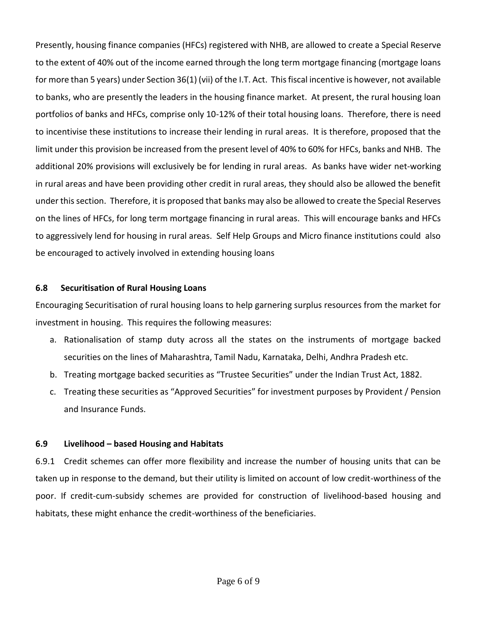Presently, housing finance companies (HFCs) registered with NHB, are allowed to create a Special Reserve to the extent of 40% out of the income earned through the long term mortgage financing (mortgage loans for more than 5 years) under Section 36(1) (vii) of the I.T. Act. This fiscal incentive is however, not available to banks, who are presently the leaders in the housing finance market. At present, the rural housing loan portfolios of banks and HFCs, comprise only 10-12% of their total housing loans. Therefore, there is need to incentivise these institutions to increase their lending in rural areas. It is therefore, proposed that the limit under this provision be increased from the present level of 40% to 60% for HFCs, banks and NHB. The additional 20% provisions will exclusively be for lending in rural areas. As banks have wider net-working in rural areas and have been providing other credit in rural areas, they should also be allowed the benefit under this section. Therefore, it is proposed that banks may also be allowed to create the Special Reserves on the lines of HFCs, for long term mortgage financing in rural areas. This will encourage banks and HFCs to aggressively lend for housing in rural areas. Self Help Groups and Micro finance institutions could also be encouraged to actively involved in extending housing loans

#### **6.8 Securitisation of Rural Housing Loans**

Encouraging Securitisation of rural housing loans to help garnering surplus resources from the market for investment in housing. This requires the following measures:

- a. Rationalisation of stamp duty across all the states on the instruments of mortgage backed securities on the lines of Maharashtra, Tamil Nadu, Karnataka, Delhi, Andhra Pradesh etc.
- b. Treating mortgage backed securities as "Trustee Securities" under the Indian Trust Act, 1882.
- c. Treating these securities as "Approved Securities" for investment purposes by Provident / Pension and Insurance Funds.

# **6.9 Livelihood – based Housing and Habitats**

6.9.1 Credit schemes can offer more flexibility and increase the number of housing units that can be taken up in response to the demand, but their utility is limited on account of low credit-worthiness of the poor. If credit-cum-subsidy schemes are provided for construction of livelihood-based housing and habitats, these might enhance the credit-worthiness of the beneficiaries.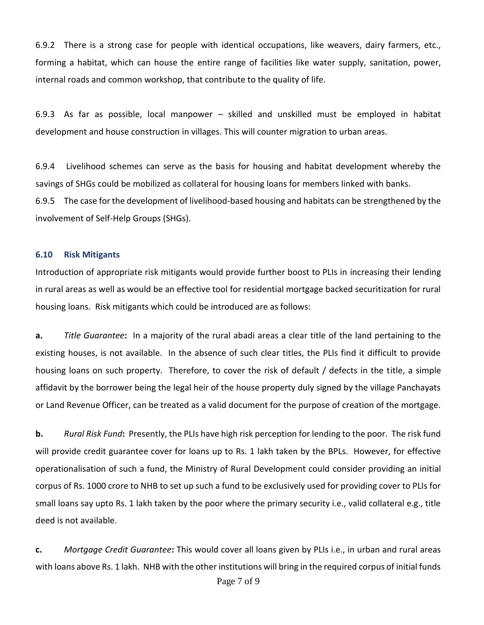6.9.2 There is a strong case for people with identical occupations, like weavers, dairy farmers, etc., forming a habitat, which can house the entire range of facilities like water supply, sanitation, power, internal roads and common workshop, that contribute to the quality of life.

6.9.3 As far as possible, local manpower – skilled and unskilled must be employed in habitat development and house construction in villages. This will counter migration to urban areas.

6.9.4 Livelihood schemes can serve as the basis for housing and habitat development whereby the savings of SHGs could be mobilized as collateral for housing loans for members linked with banks. 6.9.5 The case for the development of livelihood-based housing and habitats can be strengthened by the involvement of Self-Help Groups (SHGs).

#### **6.10 Risk Mitigants**

Introduction of appropriate risk mitigants would provide further boost to PLIs in increasing their lending in rural areas as well as would be an effective tool for residential mortgage backed securitization for rural housing loans. Risk mitigants which could be introduced are as follows:

**a.** *Title Guarantee***:** In a majority of the rural abadi areas a clear title of the land pertaining to the existing houses, is not available. In the absence of such clear titles, the PLIs find it difficult to provide housing loans on such property. Therefore, to cover the risk of default / defects in the title, a simple affidavit by the borrower being the legal heir of the house property duly signed by the village Panchayats or Land Revenue Officer, can be treated as a valid document for the purpose of creation of the mortgage.

**b.** *Rural Risk Fund***:** Presently, the PLIs have high risk perception for lending to the poor. The risk fund will provide credit guarantee cover for loans up to Rs. 1 lakh taken by the BPLs. However, for effective operationalisation of such a fund, the Ministry of Rural Development could consider providing an initial corpus of Rs. 1000 crore to NHB to set up such a fund to be exclusively used for providing cover to PLIs for small loans say upto Rs. 1 lakh taken by the poor where the primary security i.e., valid collateral e.g., title deed is not available.

**c.** *Mortgage Credit Guarantee***:** This would cover all loans given by PLIs i.e., in urban and rural areas with loans above Rs. 1 lakh. NHB with the other institutions will bring in the required corpus of initial funds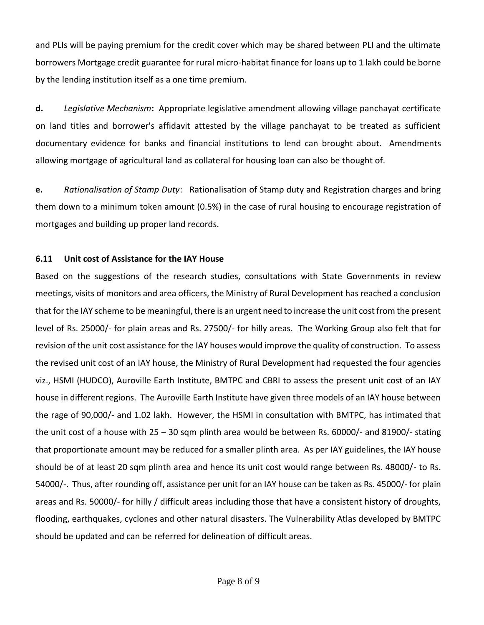and PLIs will be paying premium for the credit cover which may be shared between PLI and the ultimate borrowers Mortgage credit guarantee for rural micro-habitat finance for loans up to 1 lakh could be borne by the lending institution itself as a one time premium.

**d.** *Legislative Mechanism***:** Appropriate legislative amendment allowing village panchayat certificate on land titles and borrower's affidavit attested by the village panchayat to be treated as sufficient documentary evidence for banks and financial institutions to lend can brought about. Amendments allowing mortgage of agricultural land as collateral for housing loan can also be thought of.

**e.** *Rationalisation of Stamp Duty*: Rationalisation of Stamp duty and Registration charges and bring them down to a minimum token amount (0.5%) in the case of rural housing to encourage registration of mortgages and building up proper land records.

# **6.11 Unit cost of Assistance for the IAY House**

Based on the suggestions of the research studies, consultations with State Governments in review meetings, visits of monitors and area officers, the Ministry of Rural Development has reached a conclusion that for the IAY scheme to be meaningful, there is an urgent need to increase the unit cost from the present level of Rs. 25000/- for plain areas and Rs. 27500/- for hilly areas. The Working Group also felt that for revision of the unit cost assistance for the IAY houses would improve the quality of construction. To assess the revised unit cost of an IAY house, the Ministry of Rural Development had requested the four agencies viz., HSMI (HUDCO), Auroville Earth Institute, BMTPC and CBRI to assess the present unit cost of an IAY house in different regions. The Auroville Earth Institute have given three models of an IAY house between the rage of 90,000/- and 1.02 lakh. However, the HSMI in consultation with BMTPC, has intimated that the unit cost of a house with 25 – 30 sqm plinth area would be between Rs. 60000/- and 81900/- stating that proportionate amount may be reduced for a smaller plinth area. As per IAY guidelines, the IAY house should be of at least 20 sqm plinth area and hence its unit cost would range between Rs. 48000/- to Rs. 54000/-. Thus, after rounding off, assistance per unit for an IAY house can be taken as Rs. 45000/- for plain areas and Rs. 50000/- for hilly / difficult areas including those that have a consistent history of droughts, flooding, earthquakes, cyclones and other natural disasters. The Vulnerability Atlas developed by BMTPC should be updated and can be referred for delineation of difficult areas.